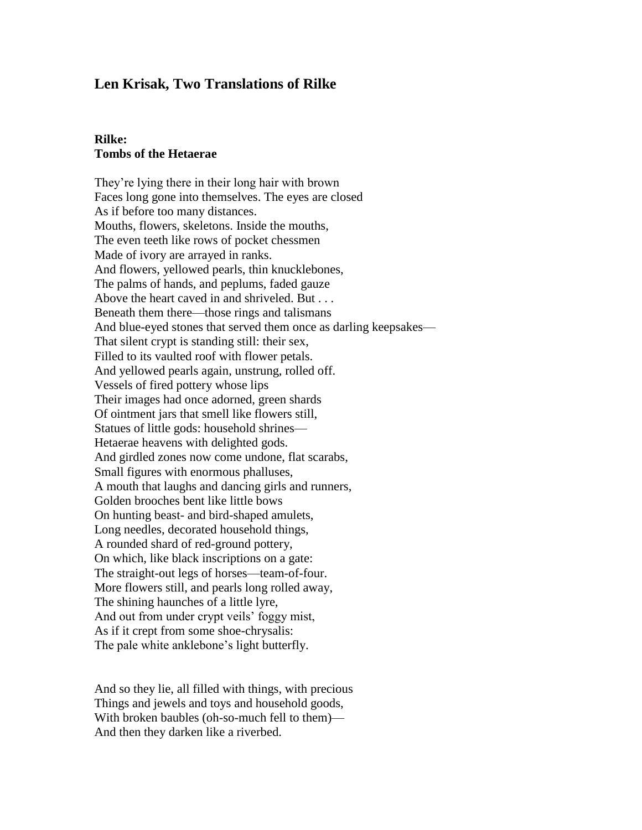# **Len Krisak, Two Translations of Rilke**

### **Rilke: Tombs of the Hetaerae**

They're lying there in their long hair with brown Faces long gone into themselves. The eyes are closed As if before too many distances. Mouths, flowers, skeletons. Inside the mouths, The even teeth like rows of pocket chessmen Made of ivory are arrayed in ranks. And flowers, yellowed pearls, thin knucklebones, The palms of hands, and peplums, faded gauze Above the heart caved in and shriveled. But . . . Beneath them there—those rings and talismans And blue-eyed stones that served them once as darling keepsakes— That silent crypt is standing still: their sex, Filled to its vaulted roof with flower petals. And yellowed pearls again, unstrung, rolled off. Vessels of fired pottery whose lips Their images had once adorned, green shards Of ointment jars that smell like flowers still, Statues of little gods: household shrines— Hetaerae heavens with delighted gods. And girdled zones now come undone, flat scarabs, Small figures with enormous phalluses, A mouth that laughs and dancing girls and runners, Golden brooches bent like little bows On hunting beast- and bird-shaped amulets, Long needles, decorated household things, A rounded shard of red-ground pottery, On which, like black inscriptions on a gate: The straight-out legs of horses—team-of-four. More flowers still, and pearls long rolled away, The shining haunches of a little lyre, And out from under crypt veils' foggy mist, As if it crept from some shoe-chrysalis: The pale white anklebone's light butterfly.

And so they lie, all filled with things, with precious Things and jewels and toys and household goods, With broken baubles (oh-so-much fell to them)— And then they darken like a riverbed.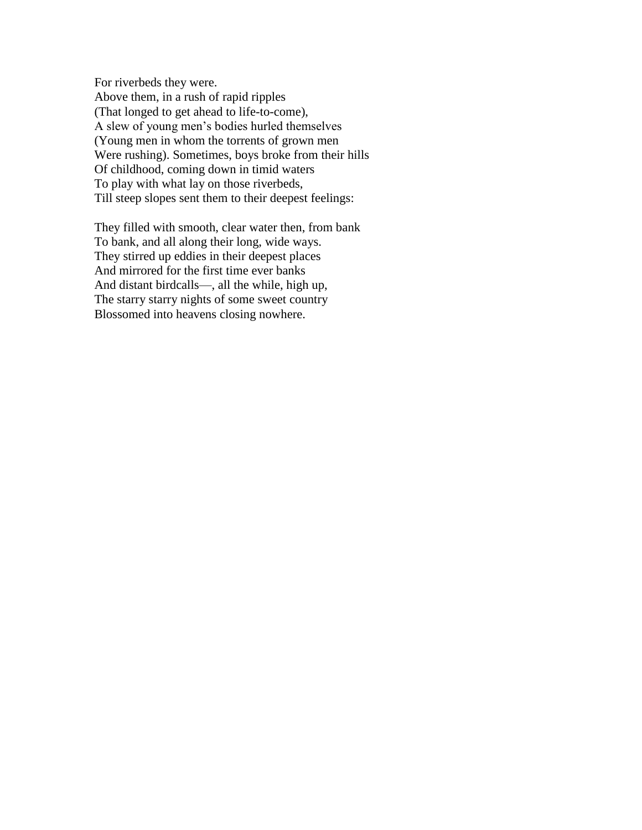For riverbeds they were. Above them, in a rush of rapid ripples (That longed to get ahead to life-to-come), A slew of young men's bodies hurled themselves (Young men in whom the torrents of grown men Were rushing). Sometimes, boys broke from their hills Of childhood, coming down in timid waters To play with what lay on those riverbeds, Till steep slopes sent them to their deepest feelings:

They filled with smooth, clear water then, from bank To bank, and all along their long, wide ways. They stirred up eddies in their deepest places And mirrored for the first time ever banks And distant birdcalls—, all the while, high up, The starry starry nights of some sweet country Blossomed into heavens closing nowhere.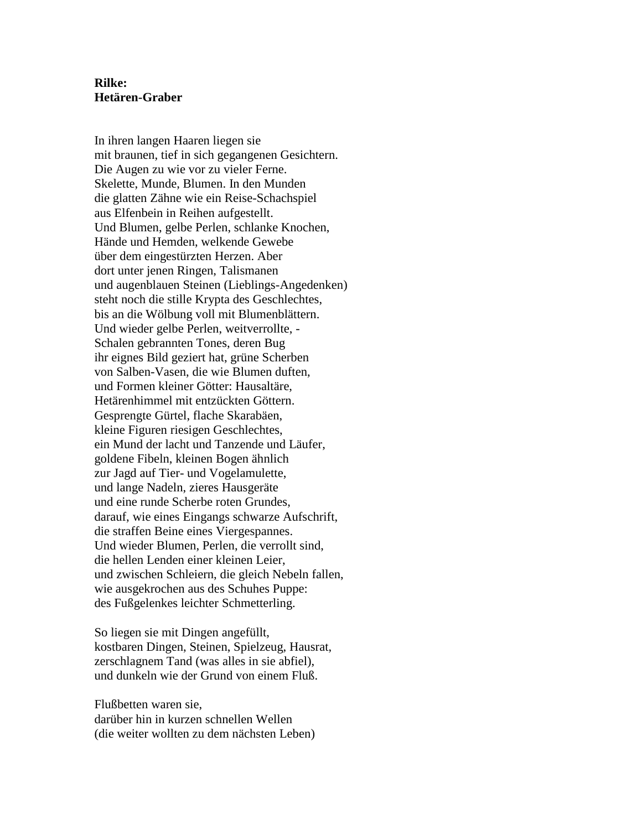## **Rilke: Hetären-Graber**

In ihren langen Haaren liegen sie mit braunen, tief in sich gegangenen Gesichtern. Die Augen zu wie vor zu vieler Ferne. Skelette, Munde, Blumen. In den Munden die glatten Zähne wie ein Reise-Schachspiel aus Elfenbein in Reihen aufgestellt. Und Blumen, gelbe Perlen, schlanke Knochen, Hände und Hemden, welkende Gewebe über dem eingestürzten Herzen. Aber dort unter jenen Ringen, Talismanen und augenblauen Steinen (Lieblings-Angedenken) steht noch die stille Krypta des Geschlechtes, bis an die Wölbung voll mit Blumenblättern. Und wieder gelbe Perlen, weitverrollte, - Schalen gebrannten Tones, deren Bug ihr eignes Bild geziert hat, grüne Scherben von Salben-Vasen, die wie Blumen duften, und Formen kleiner Götter: Hausaltäre, Hetärenhimmel mit entzückten Göttern. Gesprengte Gürtel, flache Skarabäen, kleine Figuren riesigen Geschlechtes, ein Mund der lacht und Tanzende und Läufer, goldene Fibeln, kleinen Bogen ähnlich zur Jagd auf Tier- und Vogelamulette, und lange Nadeln, zieres Hausgeräte und eine runde Scherbe roten Grundes, darauf, wie eines Eingangs schwarze Aufschrift, die straffen Beine eines Viergespannes. Und wieder Blumen, Perlen, die verrollt sind, die hellen Lenden einer kleinen Leier, und zwischen Schleiern, die gleich Nebeln fallen, wie ausgekrochen aus des Schuhes Puppe: des Fußgelenkes leichter Schmetterling.

So liegen sie mit Dingen angefüllt, kostbaren Dingen, Steinen, Spielzeug, Hausrat, zerschlagnem Tand (was alles in sie abfiel), und dunkeln wie der Grund von einem Fluß.

Flußbetten waren sie, darüber hin in kurzen schnellen Wellen (die weiter wollten zu dem nächsten Leben)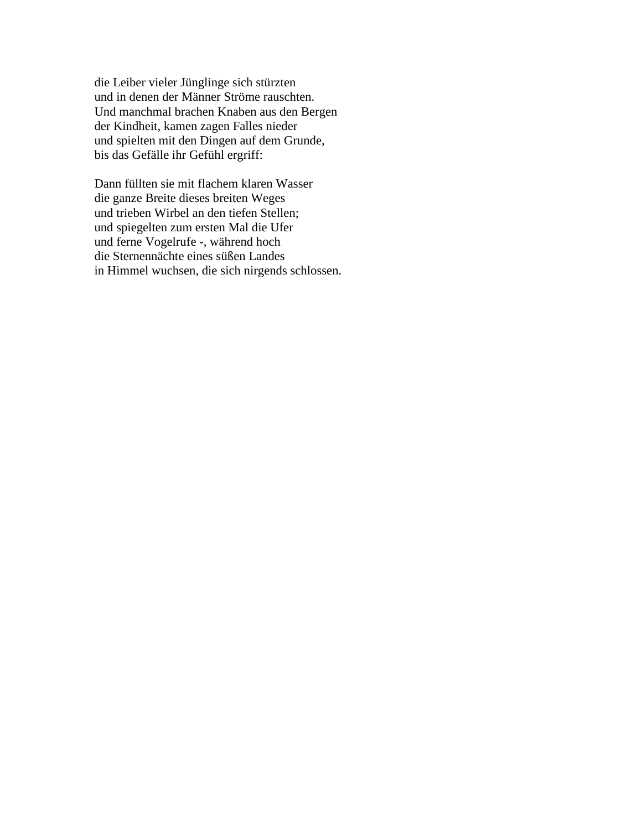die Leiber vieler Jünglinge sich stürzten und in denen der Männer Ströme rauschten. Und manchmal brachen Knaben aus den Bergen der Kindheit, kamen zagen Falles nieder und spielten mit den Dingen auf dem Grunde, bis das Gefälle ihr Gefühl ergriff:

Dann füllten sie mit flachem klaren Wasser die ganze Breite dieses breiten Weges und trieben Wirbel an den tiefen Stellen; und spiegelten zum ersten Mal die Ufer und ferne Vogelrufe -, während hoch die Sternennächte eines süßen Landes in Himmel wuchsen, die sich nirgends schlossen.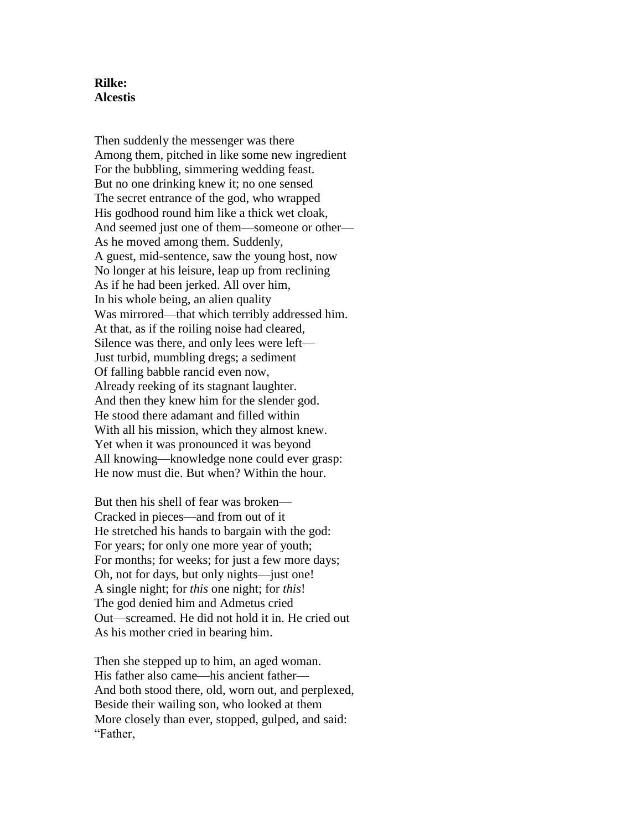### **Rilke: Alcestis**

Then suddenly the messenger was there Among them, pitched in like some new ingredient For the bubbling, simmering wedding feast. But no one drinking knew it; no one sensed The secret entrance of the god, who wrapped His godhood round him like a thick wet cloak, And seemed just one of them—someone or other— As he moved among them. Suddenly, A guest, mid-sentence, saw the young host, now No longer at his leisure, leap up from reclining As if he had been jerked. All over him, In his whole being, an alien quality Was mirrored—that which terribly addressed him. At that, as if the roiling noise had cleared, Silence was there, and only lees were left— Just turbid, mumbling dregs; a sediment Of falling babble rancid even now, Already reeking of its stagnant laughter. And then they knew him for the slender god. He stood there adamant and filled within With all his mission, which they almost knew. Yet when it was pronounced it was beyond All knowing—knowledge none could ever grasp: He now must die. But when? Within the hour.

But then his shell of fear was broken— Cracked in pieces—and from out of it He stretched his hands to bargain with the god: For years; for only one more year of youth; For months; for weeks; for just a few more days; Oh, not for days, but only nights—just one! A single night; for *this* one night; for *this*! The god denied him and Admetus cried Out—screamed. He did not hold it in. He cried out As his mother cried in bearing him.

Then she stepped up to him, an aged woman. His father also came—his ancient father— And both stood there, old, worn out, and perplexed, Beside their wailing son, who looked at them More closely than ever, stopped, gulped, and said: "Father,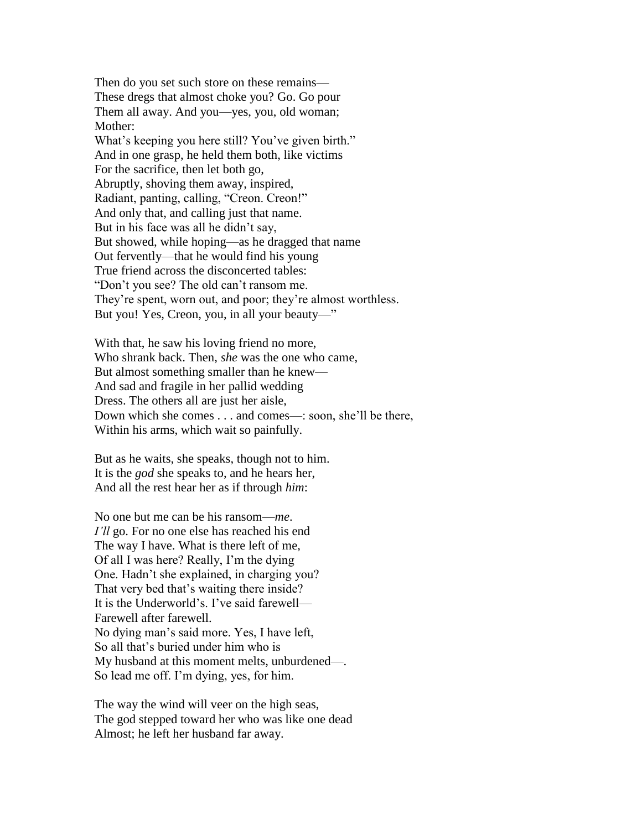Then do you set such store on these remains— These dregs that almost choke you? Go. Go pour Them all away. And you—yes, you, old woman; Mother: What's keeping you here still? You've given birth." And in one grasp, he held them both, like victims For the sacrifice, then let both go, Abruptly, shoving them away, inspired, Radiant, panting, calling, "Creon. Creon!" And only that, and calling just that name. But in his face was all he didn't say, But showed, while hoping—as he dragged that name Out fervently—that he would find his young True friend across the disconcerted tables: "Don't you see? The old can't ransom me. They're spent, worn out, and poor; they're almost worthless. But you! Yes, Creon, you, in all your beauty—"

With that, he saw his loving friend no more, Who shrank back. Then, *she* was the one who came, But almost something smaller than he knew— And sad and fragile in her pallid wedding Dress. The others all are just her aisle, Down which she comes . . . and comes—: soon, she'll be there, Within his arms, which wait so painfully.

But as he waits, she speaks, though not to him. It is the *god* she speaks to, and he hears her, And all the rest hear her as if through *him*:

No one but me can be his ransom—*me*. *I'll* go. For no one else has reached his end The way I have. What is there left of me, Of all I was here? Really, I'm the dying One. Hadn't she explained, in charging you? That very bed that's waiting there inside? It is the Underworld's. I've said farewell— Farewell after farewell. No dying man's said more. Yes, I have left, So all that's buried under him who is My husband at this moment melts, unburdened—. So lead me off. I'm dying, yes, for him.

The way the wind will veer on the high seas, The god stepped toward her who was like one dead Almost; he left her husband far away.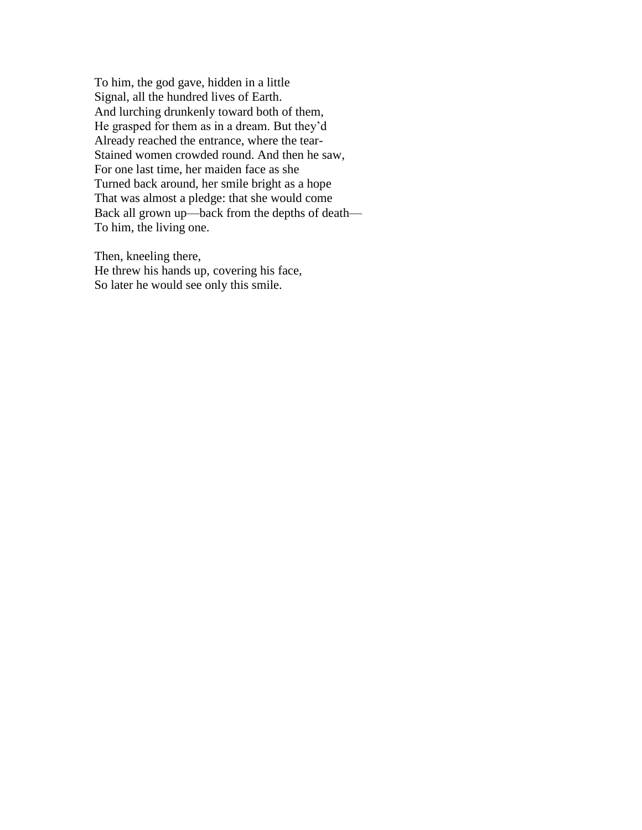To him, the god gave, hidden in a little Signal, all the hundred lives of Earth. And lurching drunkenly toward both of them, He grasped for them as in a dream. But they'd Already reached the entrance, where the tear-Stained women crowded round. And then he saw, For one last time, her maiden face as she Turned back around, her smile bright as a hope That was almost a pledge: that she would come Back all grown up—back from the depths of death— To him, the living one.

Then, kneeling there, He threw his hands up, covering his face, So later he would see only this smile.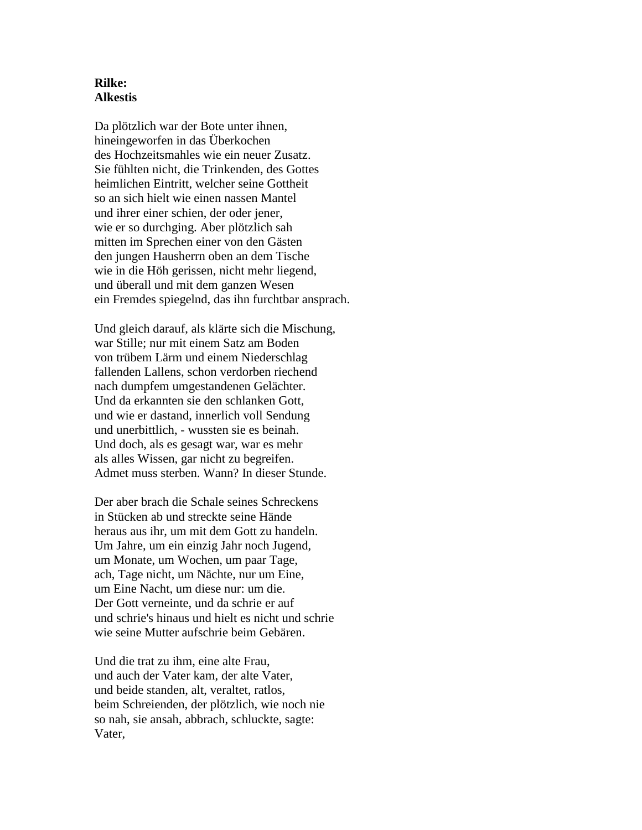#### **Rilke: Alkestis**

Da plötzlich war der Bote unter ihnen, hineingeworfen in das Überkochen des Hochzeitsmahles wie ein neuer Zusatz. Sie fühlten nicht, die Trinkenden, des Gottes heimlichen Eintritt, welcher seine Gottheit so an sich hielt wie einen nassen Mantel und ihrer einer schien, der oder jener, wie er so durchging. Aber plötzlich sah mitten im Sprechen einer von den Gästen den jungen Hausherrn oben an dem Tische wie in die Höh gerissen, nicht mehr liegend, und überall und mit dem ganzen Wesen ein Fremdes spiegelnd, das ihn furchtbar ansprach.

Und gleich darauf, als klärte sich die Mischung, war Stille; nur mit einem Satz am Boden von trübem Lärm und einem Niederschlag fallenden Lallens, schon verdorben riechend nach dumpfem umgestandenen Gelächter. Und da erkannten sie den schlanken Gott, und wie er dastand, innerlich voll Sendung und unerbittlich, - wussten sie es beinah. Und doch, als es gesagt war, war es mehr als alles Wissen, gar nicht zu begreifen. Admet muss sterben. Wann? In dieser Stunde.

Der aber brach die Schale seines Schreckens in Stücken ab und streckte seine Hände heraus aus ihr, um mit dem Gott zu handeln. Um Jahre, um ein einzig Jahr noch Jugend, um Monate, um Wochen, um paar Tage, ach, Tage nicht, um Nächte, nur um Eine, um Eine Nacht, um diese nur: um die. Der Gott verneinte, und da schrie er auf und schrie's hinaus und hielt es nicht und schrie wie seine Mutter aufschrie beim Gebären.

Und die trat zu ihm, eine alte Frau, und auch der Vater kam, der alte Vater, und beide standen, alt, veraltet, ratlos, beim Schreienden, der plötzlich, wie noch nie so nah, sie ansah, abbrach, schluckte, sagte: Vater,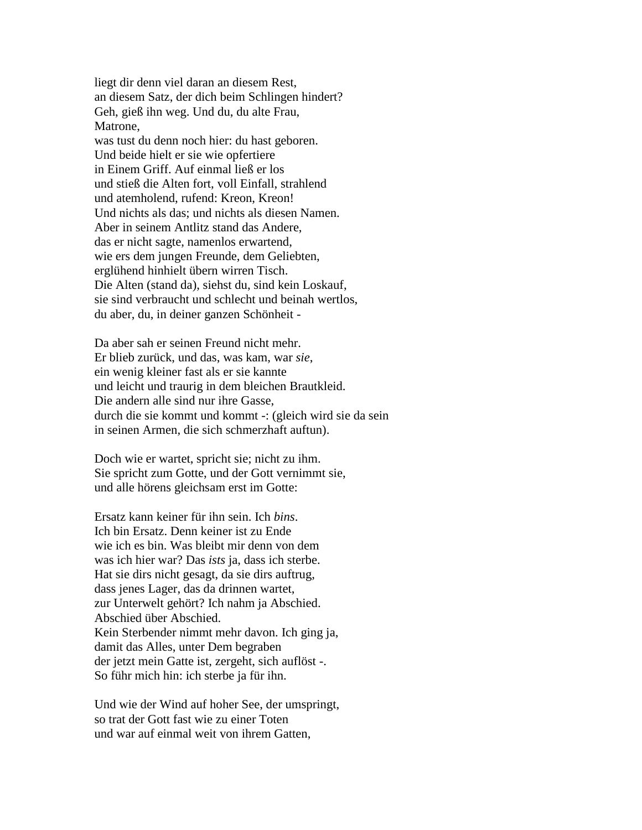liegt dir denn viel daran an diesem Rest, an diesem Satz, der dich beim Schlingen hindert? Geh, gieß ihn weg. Und du, du alte Frau, Matrone, was tust du denn noch hier: du hast geboren.

Und beide hielt er sie wie opfertiere in Einem Griff. Auf einmal ließ er los und stieß die Alten fort, voll Einfall, strahlend und atemholend, rufend: Kreon, Kreon! Und nichts als das; und nichts als diesen Namen. Aber in seinem Antlitz stand das Andere, das er nicht sagte, namenlos erwartend, wie ers dem jungen Freunde, dem Geliebten, erglühend hinhielt übern wirren Tisch. Die Alten (stand da), siehst du, sind kein Loskauf, sie sind verbraucht und schlecht und beinah wertlos, du aber, du, in deiner ganzen Schönheit -

Da aber sah er seinen Freund nicht mehr. Er blieb zurück, und das, was kam, war *sie*, ein wenig kleiner fast als er sie kannte und leicht und traurig in dem bleichen Brautkleid. Die andern alle sind nur ihre Gasse, durch die sie kommt und kommt -: (gleich wird sie da sein in seinen Armen, die sich schmerzhaft auftun).

Doch wie er wartet, spricht sie; nicht zu ihm. Sie spricht zum Gotte, und der Gott vernimmt sie, und alle hörens gleichsam erst im Gotte:

Ersatz kann keiner für ihn sein. Ich *bins*. Ich bin Ersatz. Denn keiner ist zu Ende wie ich es bin. Was bleibt mir denn von dem was ich hier war? Das *ists* ja, dass ich sterbe. Hat sie dirs nicht gesagt, da sie dirs auftrug, dass jenes Lager, das da drinnen wartet, zur Unterwelt gehört? Ich nahm ja Abschied. Abschied über Abschied. Kein Sterbender nimmt mehr davon. Ich ging ja, damit das Alles, unter Dem begraben der jetzt mein Gatte ist, zergeht, sich auflöst -. So führ mich hin: ich sterbe ja für ihn.

Und wie der Wind auf hoher See, der umspringt, so trat der Gott fast wie zu einer Toten und war auf einmal weit von ihrem Gatten,